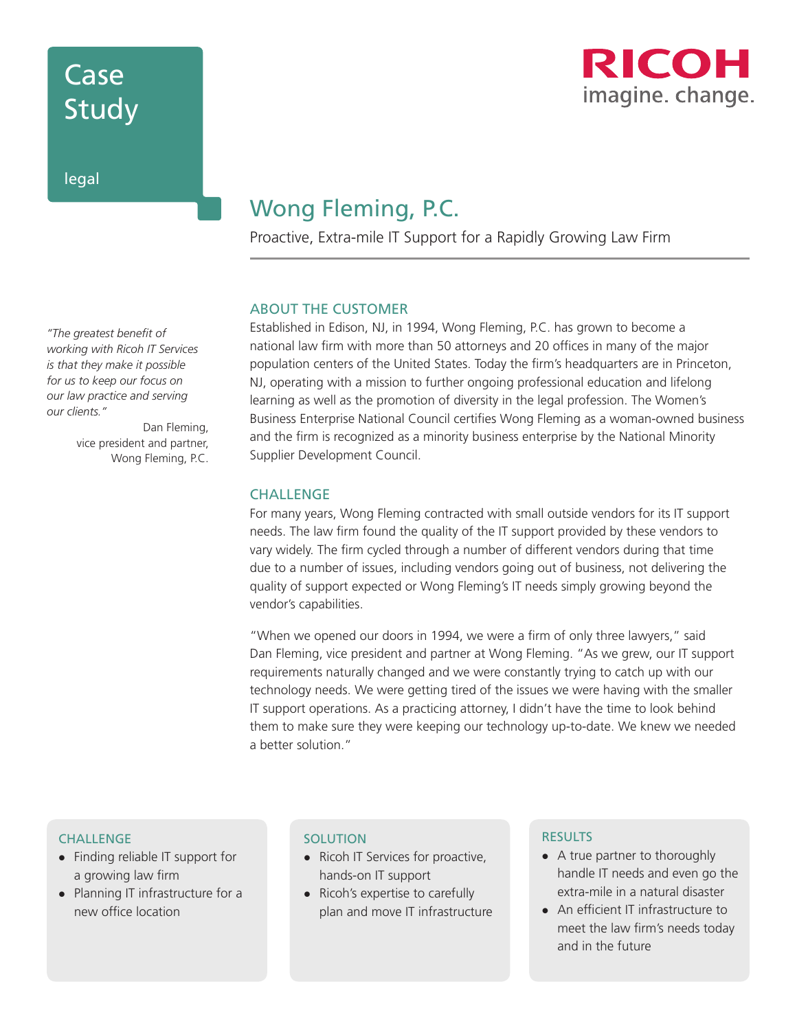# Case Study

legal



### Wong Fleming, P.C.

Proactive, Extra-mile IT Support for a Rapidly Growing Law Firm

#### ABOUT THE CUSTOMER

Established in Edison, NJ, in 1994, Wong Fleming, P.C. has grown to become a national law firm with more than 50 attorneys and 20 offices in many of the major population centers of the United States. Today the firm's headquarters are in Princeton, NJ, operating with a mission to further ongoing professional education and lifelong learning as well as the promotion of diversity in the legal profession. The Women's Business Enterprise National Council certifies Wong Fleming as a woman-owned business and the firm is recognized as a minority business enterprise by the National Minority Supplier Development Council.

#### **CHALLENGE**

For many years, Wong Fleming contracted with small outside vendors for its IT support needs. The law firm found the quality of the IT support provided by these vendors to vary widely. The firm cycled through a number of different vendors during that time due to a number of issues, including vendors going out of business, not delivering the quality of support expected or Wong Fleming's IT needs simply growing beyond the vendor's capabilities.

"When we opened our doors in 1994, we were a firm of only three lawyers," said Dan Fleming, vice president and partner at Wong Fleming. "As we grew, our IT support requirements naturally changed and we were constantly trying to catch up with our technology needs. We were getting tired of the issues we were having with the smaller IT support operations. As a practicing attorney, I didn't have the time to look behind them to make sure they were keeping our technology up-to-date. We knew we needed a better solution."

#### **CHALLENGE**

- Finding reliable IT support for a growing law firm
- Planning IT infrastructure for a new office location

#### **SOLUTION**

- Ricoh IT Services for proactive, hands-on IT support
- Ricoh's expertise to carefully plan and move IT infrastructure

#### RESULTS

- A true partner to thoroughly handle IT needs and even go the extra-mile in a natural disaster
- An efficient IT infrastructure to meet the law firm's needs today and in the future

*"The greatest benefit of working with Ricoh IT Services is that they make it possible for us to keep our focus on our law practice and serving our clients."*

Dan Fleming, vice president and partner, Wong Fleming, P.C.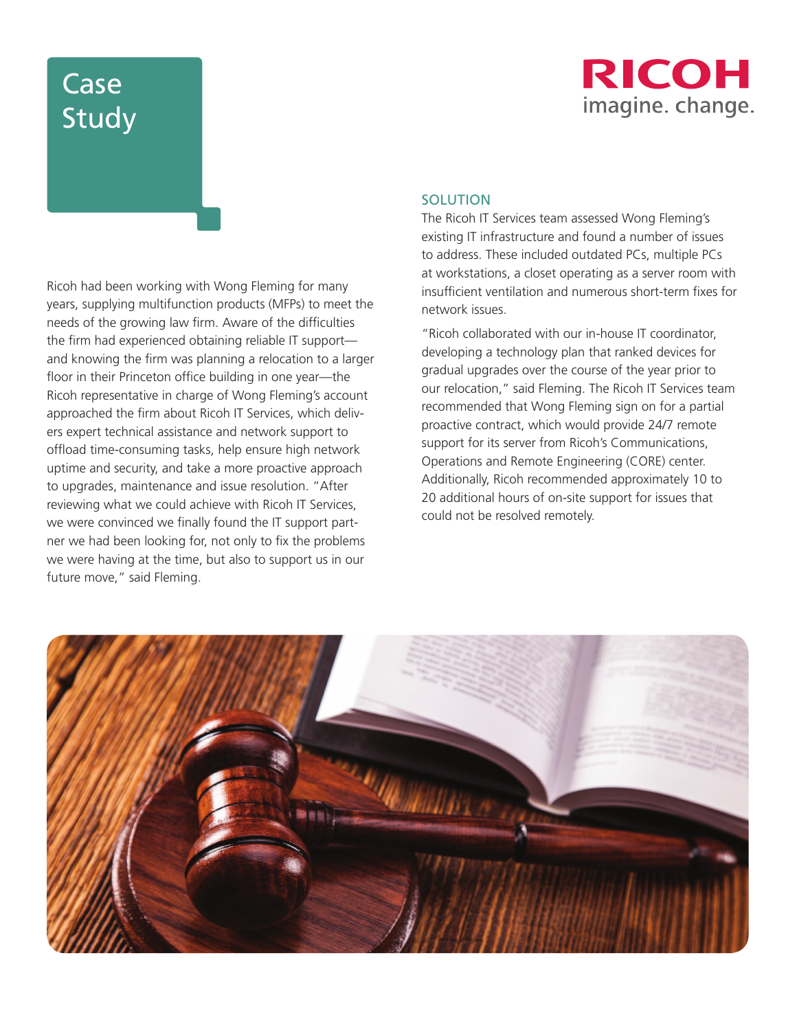# Case Study



Ricoh had been working with Wong Fleming for many years, supplying multifunction products (MFPs) to meet the needs of the growing law firm. Aware of the difficulties the firm had experienced obtaining reliable IT support and knowing the firm was planning a relocation to a larger floor in their Princeton office building in one year—the Ricoh representative in charge of Wong Fleming's account approached the firm about Ricoh IT Services, which delivers expert technical assistance and network support to offload time-consuming tasks, help ensure high network uptime and security, and take a more proactive approach to upgrades, maintenance and issue resolution. "After reviewing what we could achieve with Ricoh IT Services, we were convinced we finally found the IT support partner we had been looking for, not only to fix the problems we were having at the time, but also to support us in our future move," said Fleming.

#### **SOLUTION**

The Ricoh IT Services team assessed Wong Fleming's existing IT infrastructure and found a number of issues to address. These included outdated PCs, multiple PCs at workstations, a closet operating as a server room with insufficient ventilation and numerous short-term fixes for network issues.

"Ricoh collaborated with our in-house IT coordinator, developing a technology plan that ranked devices for gradual upgrades over the course of the year prior to our relocation," said Fleming. The Ricoh IT Services team recommended that Wong Fleming sign on for a partial proactive contract, which would provide 24/7 remote support for its server from Ricoh's Communications, Operations and Remote Engineering (CORE) center. Additionally, Ricoh recommended approximately 10 to 20 additional hours of on-site support for issues that could not be resolved remotely.